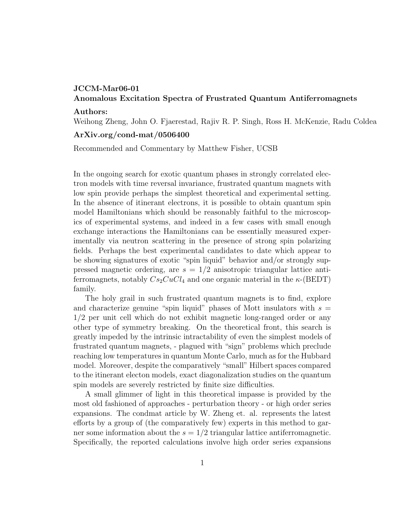## JCCM-Mar06-01

## Anomalous Excitation Spectra of Frustrated Quantum Antiferromagnets

## Authors:

Weihong Zheng, John O. Fjaerestad, Rajiv R. P. Singh, Ross H. McKenzie, Radu Coldea

## ArXiv.org/cond-mat/0506400

Recommended and Commentary by Matthew Fisher, UCSB

In the ongoing search for exotic quantum phases in strongly correlated electron models with time reversal invariance, frustrated quantum magnets with low spin provide perhaps the simplest theoretical and experimental setting. In the absence of itinerant electrons, it is possible to obtain quantum spin model Hamiltonians which should be reasonably faithful to the microscopics of experimental systems, and indeed in a few cases with small enough exchange interactions the Hamiltonians can be essentially measured experimentally via neutron scattering in the presence of strong spin polarizing fields. Perhaps the best experimental candidates to date which appear to be showing signatures of exotic "spin liquid" behavior and/or strongly suppressed magnetic ordering, are  $s = 1/2$  anisotropic triangular lattice antiferromagnets, notably  $Cs_2CuCl_4$  and one organic material in the  $\kappa$ -(BEDT) family.

The holy grail in such frustrated quantum magnets is to find, explore and characterize genuine "spin liquid" phases of Mott insulators with  $s =$ 1/2 per unit cell which do not exhibit magnetic long-ranged order or any other type of symmetry breaking. On the theoretical front, this search is greatly impeded by the intrinsic intractability of even the simplest models of frustrated quantum magnets, - plagued with "sign" problems which preclude reaching low temperatures in quantum Monte Carlo, much as for the Hubbard model. Moreover, despite the comparatively "small" Hilbert spaces compared to the itinerant electon models, exact diagonalization studies on the quantum spin models are severely restricted by finite size difficulties.

A small glimmer of light in this theoretical impasse is provided by the most old fashioned of approaches - perturbation theory - or high order series expansions. The condmat article by W. Zheng et. al. represents the latest efforts by a group of (the comparatively few) experts in this method to garner some information about the  $s = 1/2$  triangular lattice antiferromagnetic. Specifically, the reported calculations involve high order series expansions